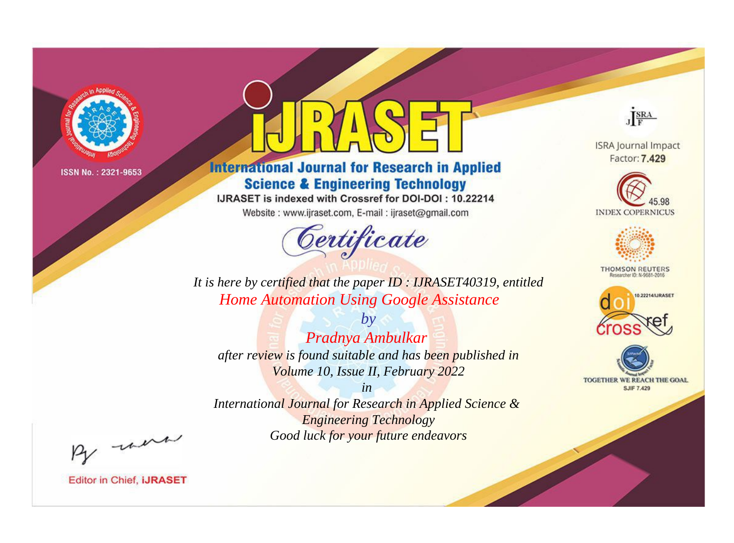

# **International Journal for Research in Applied Science & Engineering Technology**

IJRASET is indexed with Crossref for DOI-DOI: 10.22214

Website: www.ijraset.com, E-mail: ijraset@gmail.com



JERA

**ISRA Journal Impact** Factor: 7.429





**THOMSON REUTERS** 



TOGETHER WE REACH THE GOAL **SJIF 7.429** 

It is here by certified that the paper ID: IJRASET40319, entitled **Home Automation Using Google Assistance** 

Pradnya Ambulkar after review is found suitable and has been published in Volume 10, Issue II, February 2022

 $b\nu$ 

 $in$ International Journal for Research in Applied Science & **Engineering Technology** Good luck for your future endeavors

By morn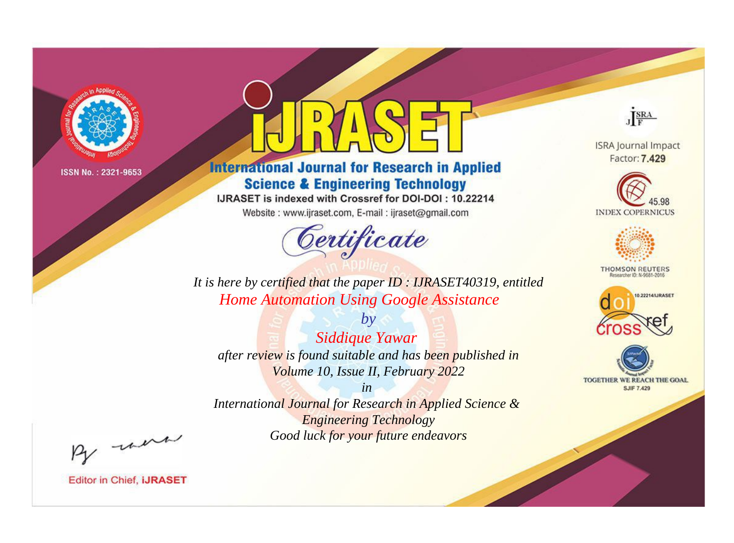

# **International Journal for Research in Applied Science & Engineering Technology**

IJRASET is indexed with Crossref for DOI-DOI: 10.22214

Website: www.ijraset.com, E-mail: ijraset@gmail.com



JERA

**ISRA Journal Impact** Factor: 7.429





**THOMSON REUTERS** 



TOGETHER WE REACH THE GOAL **SJIF 7.429** 

It is here by certified that the paper ID: IJRASET40319, entitled **Home Automation Using Google Assistance** 

 $by$ Siddique Yawar after review is found suitable and has been published in Volume 10, Issue II, February 2022

 $in$ International Journal for Research in Applied Science & **Engineering Technology** Good luck for your future endeavors

By morn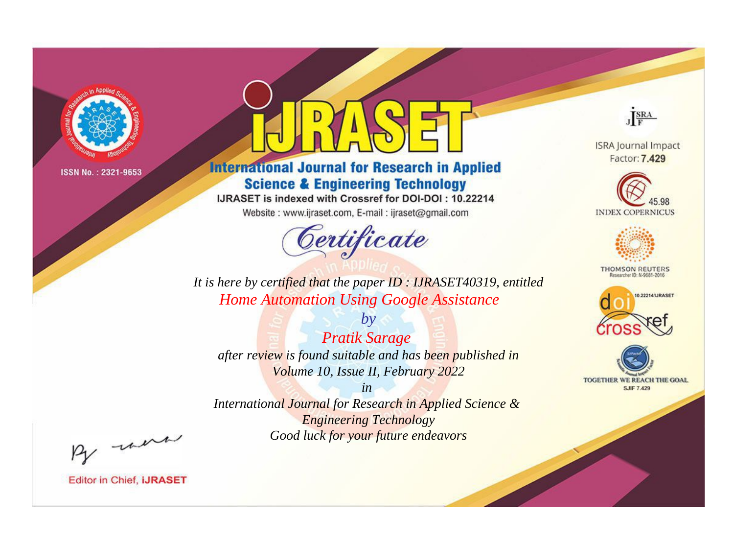

# **International Journal for Research in Applied Science & Engineering Technology**

IJRASET is indexed with Crossref for DOI-DOI: 10.22214

Website: www.ijraset.com, E-mail: ijraset@gmail.com



JERA **ISRA Journal Impact** 

Factor: 7.429





**THOMSON REUTERS** 



TOGETHER WE REACH THE GOAL **SJIF 7.429** 

It is here by certified that the paper ID: IJRASET40319, entitled **Home Automation Using Google Assistance** 

**Pratik Sarage** after review is found suitable and has been published in Volume 10, Issue II, February 2022

 $b\nu$ 

 $in$ International Journal for Research in Applied Science & **Engineering Technology** Good luck for your future endeavors

By morn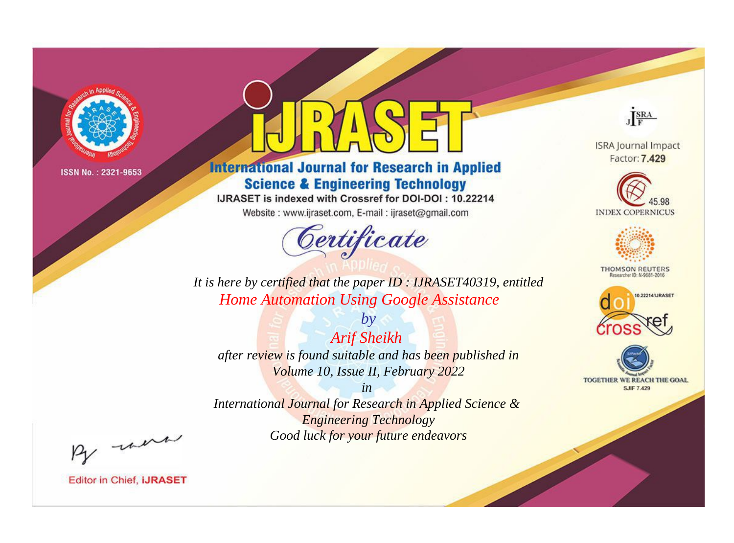

# **International Journal for Research in Applied Science & Engineering Technology**

IJRASET is indexed with Crossref for DOI-DOI: 10.22214

Website: www.ijraset.com, E-mail: ijraset@gmail.com



JERA

**ISRA Journal Impact** Factor: 7.429





**THOMSON REUTERS** 



TOGETHER WE REACH THE GOAL **SJIF 7.429** 

It is here by certified that the paper ID: IJRASET40319, entitled **Home Automation Using Google Assistance** 

**Arif Sheikh** after review is found suitable and has been published in Volume 10, Issue II, February 2022

 $by$ 

 $in$ International Journal for Research in Applied Science & **Engineering Technology** Good luck for your future endeavors

By morn